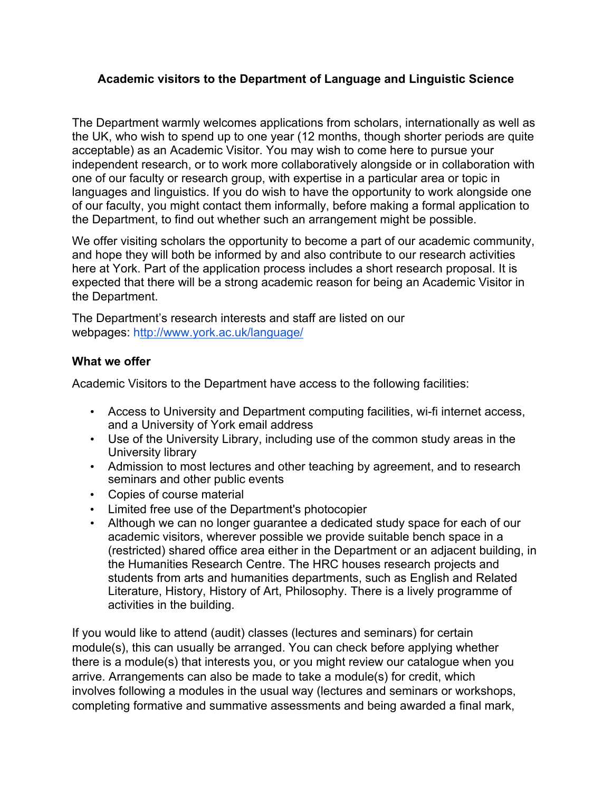### **Academic visitors to the Department of Language and Linguistic Science**

The Department warmly welcomes applications from scholars, internationally as well as the UK, who wish to spend up to one year (12 months, though shorter periods are quite acceptable) as an Academic Visitor. You may wish to come here to pursue your independent research, or to work more collaboratively alongside or in collaboration with one of our faculty or research group, with expertise in a particular area or topic in languages and linguistics. If you do wish to have the opportunity to work alongside one of our faculty, you might contact them informally, before making a formal application to the Department, to find out whether such an arrangement might be possible.

We offer visiting scholars the opportunity to become a part of our academic community, and hope they will both be informed by and also contribute to our research activities here at York. Part of the application process includes a short research proposal. It is expected that there will be a strong academic reason for being an Academic Visitor in the Department.

The Department's research interests and staff are listed on our webpages: http://www.york.ac.uk/language/

#### **What we offer**

Academic Visitors to the Department have access to the following facilities:

- Access to University and Department computing facilities, wi-fi internet access, and a University of York email address
- Use of the University Library, including use of the common study areas in the University library
- Admission to most lectures and other teaching by agreement, and to research seminars and other public events
- Copies of course material
- Limited free use of the Department's photocopier
- Although we can no longer guarantee a dedicated study space for each of our academic visitors, wherever possible we provide suitable bench space in a (restricted) shared office area either in the Department or an adjacent building, in the Humanities Research Centre. The HRC houses research projects and students from arts and humanities departments, such as English and Related Literature, History, History of Art, Philosophy. There is a lively programme of activities in the building.

If you would like to attend (audit) classes (lectures and seminars) for certain module(s), this can usually be arranged. You can check before applying whether there is a module(s) that interests you, or you might review our catalogue when you arrive. Arrangements can also be made to take a module(s) for credit, which involves following a modules in the usual way (lectures and seminars or workshops, completing formative and summative assessments and being awarded a final mark,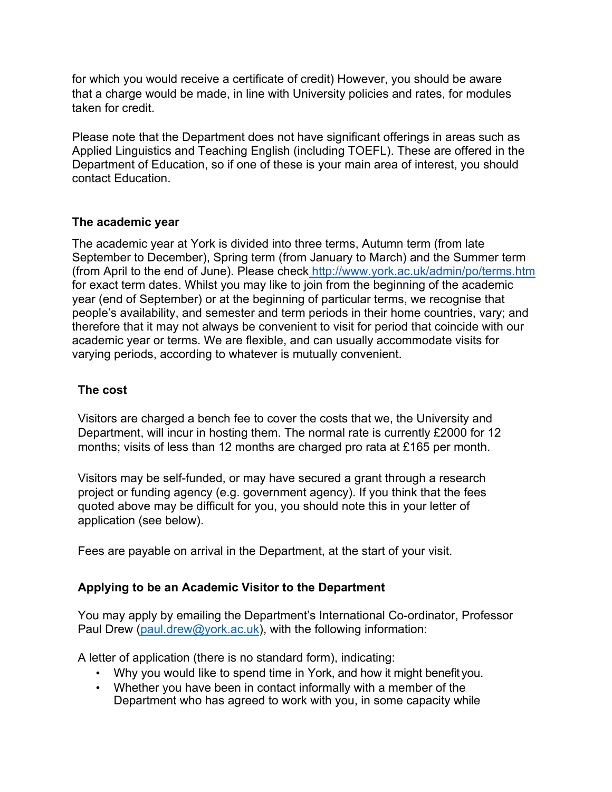for which you would receive a certificate of credit) However, you should be aware that a charge would be made, in line with University policies and rates, for modules taken for credit.

Please note that the Department does not have significant offerings in areas such as Applied Linguistics and Teaching English (including TOEFL). These are offered in the Department of Education, so if one of these is your main area of interest, you should contact Education.

### **The academic year**

The academic year at York is divided into three terms, Autumn term (from late September to December), Spring term (from January to March) and the Summer term (from April to the end of June). Please check http://www.york.ac.uk/admin/po/terms.htm for exact term dates. Whilst you may like to join from the beginning of the academic year (end of September) or at the beginning of particular terms, we recognise that people's availability, and semester and term periods in their home countries, vary; and therefore that it may not always be convenient to visit for period that coincide with our academic year or terms. We are flexible, and can usually accommodate visits for varying periods, according to whatever is mutually convenient.

# **The cost**

Visitors are charged a bench fee to cover the costs that we, the University and Department, will incur in hosting them. The normal rate is currently £2000 for 12 months; visits of less than 12 months are charged pro rata at £165 per month.

Visitors may be self-funded, or may have secured a grant through a research project or funding agency (e.g. government agency). If you think that the fees quoted above may be difficult for you, you should note this in your letter of application (see below).

Fees are payable on arrival in the Department, at the start of your visit.

## **Applying to be an Academic Visitor to the Department**

You may apply by emailing the Department's International Co-ordinator, Professor Paul Drew (paul.drew@york.ac.uk), with the following information:

A letter of application (there is no standard form), indicating:

- Why you would like to spend time in York, and how it might benefit you.
- Whether you have been in contact informally with a member of the Department who has agreed to work with you, in some capacity while